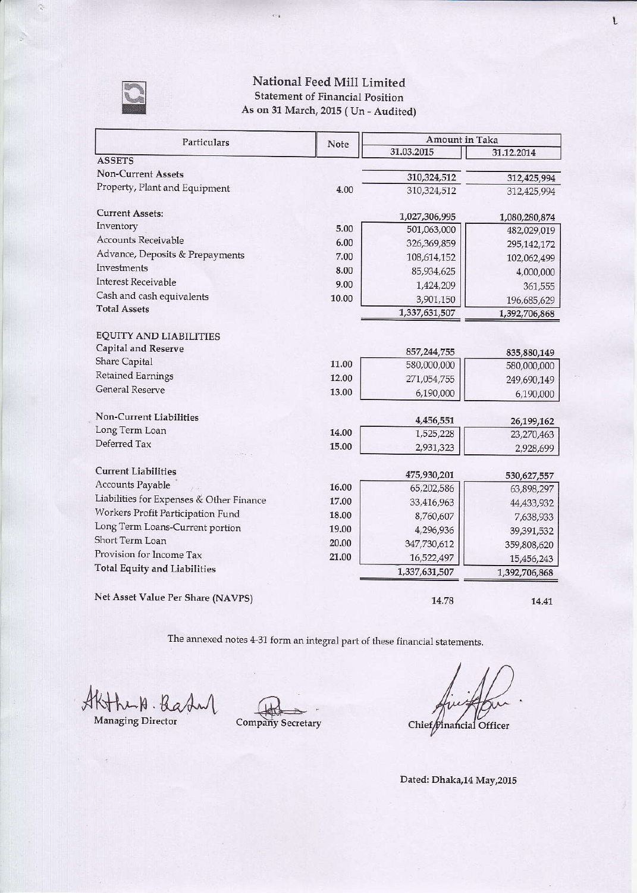

## National Feed Mill Limited **Statement of Financial Position** As on 31 March, 2015 (Un - Audited)

 $\bar{\epsilon}$  ,

| Particulars                              | Note  | Amount in Taka         |                          |  |
|------------------------------------------|-------|------------------------|--------------------------|--|
|                                          |       | 31.03.2015             | 31.12.2014               |  |
| <b>ASSETS</b>                            |       |                        |                          |  |
| <b>Non-Current Assets</b>                |       | 310,324,512            | 312,425,994              |  |
| Property, Plant and Equipment            | 4.00  | 310,324,512            | 312,425,994              |  |
| <b>Current Assets:</b>                   |       | 1,027,306,995          | 1,080,280,874            |  |
| Inventory                                | 5.00  | 501,063,000            | 482,029,019              |  |
| Accounts Receivable                      | 6.00  | 326,369,859            | 295,142,172              |  |
| Advance, Deposits & Prepayments          | 7.00  | 108,614,152            | 102,062,499              |  |
| Investments                              | 8.00  | 85,934,625             | 4,000,000                |  |
| <b>Interest Receivable</b>               | 9.00  | 1,424,209              | 361,555                  |  |
| Cash and cash equivalents                | 10.00 | 3,901,150              | 196,685,629              |  |
| <b>Total Assets</b>                      |       | 1,337,631,507          | 1,392,706,868            |  |
| <b>EQUITY AND LIABILITIES</b>            |       |                        |                          |  |
| Capital and Reserve                      |       | 857, 244, 755          | 835,880,149              |  |
| <b>Share Capital</b>                     | 11.00 | 580,000,000            | 580,000,000              |  |
| <b>Retained Earnings</b>                 | 12.00 | 271,054,755            | 249,690,149              |  |
| <b>General Reserve</b>                   | 13.00 | 6,190,000              | 6,190,000                |  |
| Non-Current Liabilities                  |       |                        |                          |  |
| Long Term Loan                           | 14.00 | 4,456,551<br>1,525,228 | 26,199,162<br>23,270,463 |  |
| Deferred Tax                             | 15.00 | 2,931,323              | 2,928,699                |  |
| <b>Current Liabilities</b>               |       |                        |                          |  |
| <b>Accounts Payable</b>                  | 16.00 | 475,930,201            | 530,627,557              |  |
| Liabilities for Expenses & Other Finance | 17.00 | 65,202,586             | 63,898,297               |  |
| Workers Profit Participation Fund        | 18.00 | 33,416,963             | 44,433,932               |  |
| Long Term Loans-Current portion          | 19.00 | 8,760,607              | 7,638,933                |  |
| <b>Short Term Loan</b>                   |       | 4,296,936              | 39,391,532               |  |
| Provision for Income Tax                 | 20.00 | 347,730,612            | 359,808,620              |  |
| Total Equity and Liabilities             | 21.00 | 16,522,497             | 15,456,243               |  |
|                                          |       | 1,337,631,507          | 1,392,706,868            |  |

Net Asset Value Per Share (NAVPS)

14.41

The annexed notes 4-31 form an integral part of these financial statements.

AKThuk. Bady

Managing Director

Company Secretary

Chief Dinancial Officer

14.78

Dated: Dhaka,14 May,2015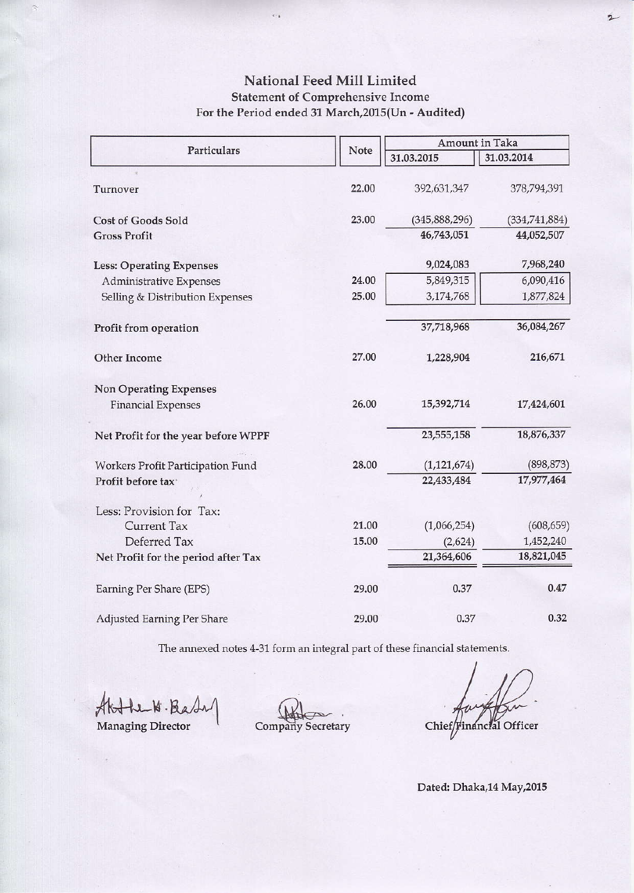## National Feed Mill Limited **Statement of Comprehensive Income** For the Period ended 31 March, 2015(Un - Audited)

 $\bar{\epsilon}$  .

|                                     |       | Amount in Taka  |               |  |
|-------------------------------------|-------|-----------------|---------------|--|
| Particulars                         | Note  | 31.03.2015      | 31.03.2014    |  |
| Turnover                            | 22.00 | 392,631,347     | 378,794,391   |  |
| <b>Cost of Goods Sold</b>           | 23.00 | (345, 888, 296) | (334,741,884) |  |
| <b>Gross Profit</b>                 |       | 46,743,051      | 44,052,507    |  |
| <b>Less: Operating Expenses</b>     |       | 9,024,083       | 7,968,240     |  |
| Administrative Expenses             | 24.00 | 5,849,315       |               |  |
| Selling & Distribution Expenses     | 25.00 | 3,174,768       | 1,877,824     |  |
| Profit from operation               |       | 37,718,968      | 36,084,267    |  |
| Other Income                        | 27.00 | 1,228,904       | 216,671       |  |
| <b>Non Operating Expenses</b>       |       |                 |               |  |
| <b>Financial Expenses</b>           | 26.00 | 15,392,714      | 17,424,601    |  |
| Net Profit for the year before WPPF |       | 23,555,158      | 18,876,337    |  |
| Workers Profit Participation Fund   | 28.00 | (1, 121, 674)   | (898, 873)    |  |
| Profit before tax <sup>+</sup>      |       | 22,433,484      | 17,977,464    |  |
| Less: Provision for Tax:            |       |                 |               |  |
| <b>Current Tax</b>                  | 21.00 | (1,066,254)     | (608, 659)    |  |
| Deferred Tax                        | 15.00 | (2,624)         | 1,452,240     |  |
| Net Profit for the period after Tax |       | 21,364,606      | 18,821,045    |  |
| Earning Per Share (EPS)             | 29.00 | 0.37            | 0.47          |  |
| Adjusted Earning Per Share          | 29.00 | 0.37            | 0.32          |  |

The annexed notes 4-31 form an integral part of these financial statements.

Althe W. Bash

Managing Director

Company Secretary

Chief/Financial Officer

2

Dated: Dhaka,14 May,2015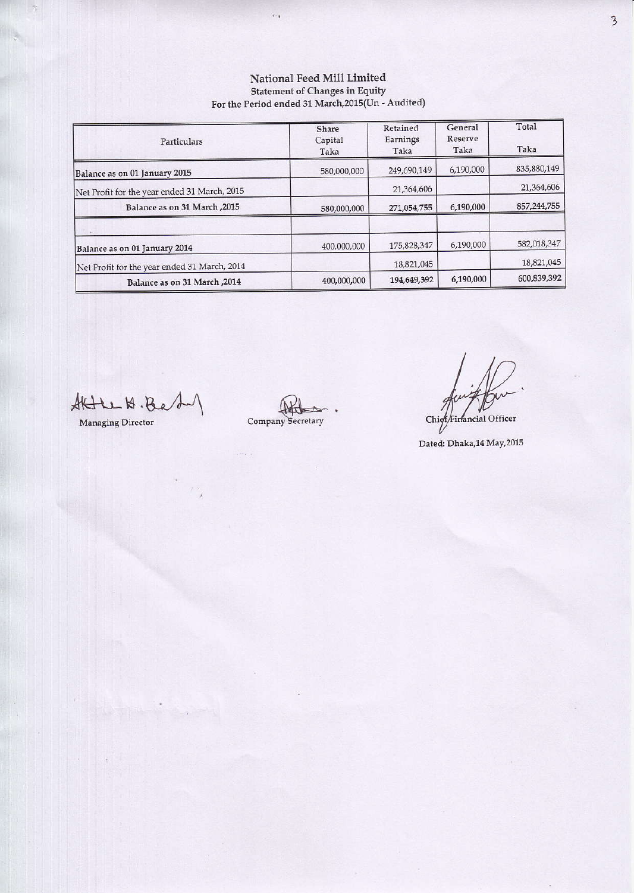## National Feed Mill Limited Statement of Changes in Equity<br>For the Period ended 31 March, 2015(Un - Audited)

 $\hat{\epsilon}_{\pm 1}$ 

| Particulars                                  | Share<br>Capital<br>Taka | Retained<br>Earnings<br>Taka | General<br>Reserve<br>Taka | Total<br>Taka |
|----------------------------------------------|--------------------------|------------------------------|----------------------------|---------------|
| Balance as on 01 January 2015                | 580,000,000              | 249,690,149                  | 6,190,000                  | 835,880,149   |
| Net Profit for the year ended 31 March, 2015 |                          | 21,364,606                   |                            | 21,364,606    |
| 2015, Balance as on 31 March                 | 580,000,000              | 271,054,755                  | 6,190,000                  | 857,244,755   |
| Balance as on 01 January 2014                | 400,000,000              | 175,828,347                  | 6,190,000                  | 582,018,347   |
| Net Profit for the year ended 31 March, 2014 |                          | 18,821,045                   |                            | 18,821,045    |
| Balance as on 31 March, 2014                 | 400,000,000              | 194,649,392                  | 6,190,000                  | 600,839,392   |

State H. Bet

Managing Director

Company Secretary

Chief Financial Officer

Dated: Dhaka,14 May,2015